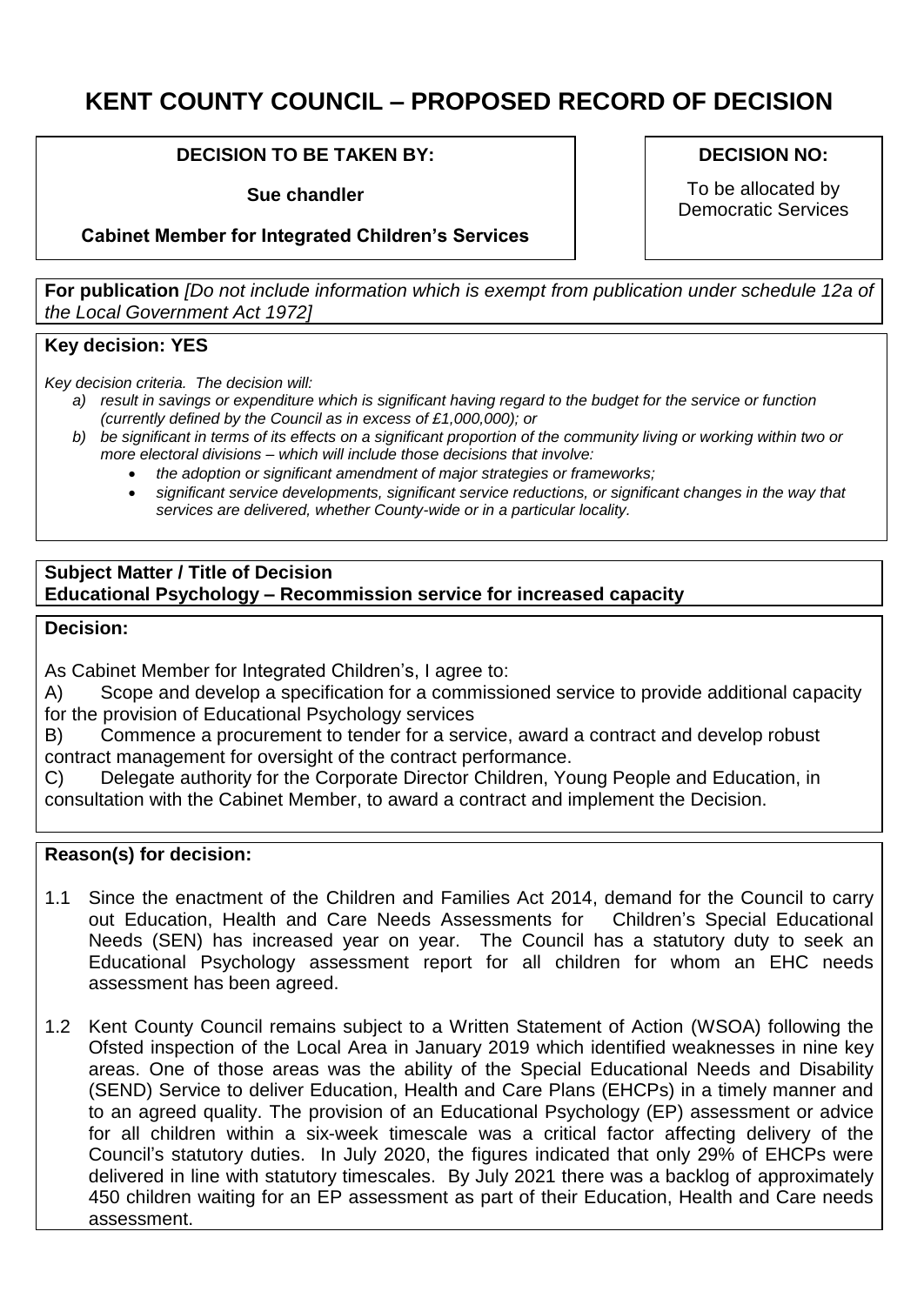# **KENT COUNTY COUNCIL – PROPOSED RECORD OF DECISION**

## **DECISION TO BE TAKEN BY:**

**Sue chandler**

**Cabinet Member for Integrated Children's Services**

**DECISION NO:**

To be allocated by Democratic Services

**For publication** *[Do not include information which is exempt from publication under schedule 12a of the Local Government Act 1972]*

## **Key decision: YES**

*Key decision criteria. The decision will:*

- *a) result in savings or expenditure which is significant having regard to the budget for the service or function (currently defined by the Council as in excess of £1,000,000); or*
- *b) be significant in terms of its effects on a significant proportion of the community living or working within two or more electoral divisions – which will include those decisions that involve:*
	- *the adoption or significant amendment of major strategies or frameworks;*
	- *significant service developments, significant service reductions, or significant changes in the way that services are delivered, whether County-wide or in a particular locality.*

## **Subject Matter / Title of Decision Educational Psychology – Recommission service for increased capacity**

**Decision:**

As Cabinet Member for Integrated Children's, I agree to:

A) Scope and develop a specification for a commissioned service to provide additional capacity for the provision of Educational Psychology services

B) Commence a procurement to tender for a service, award a contract and develop robust contract management for oversight of the contract performance.

C) Delegate authority for the Corporate Director Children, Young People and Education, in consultation with the Cabinet Member, to award a contract and implement the Decision.

## **Reason(s) for decision:**

- 1.1 Since the enactment of the Children and Families Act 2014, demand for the Council to carry out Education, Health and Care Needs Assessments for Children's Special Educational Needs (SEN) has increased year on year. The Council has a statutory duty to seek an Educational Psychology assessment report for all children for whom an EHC needs assessment has been agreed.
- 1.2 Kent County Council remains subject to a Written Statement of Action (WSOA) following the Ofsted inspection of the Local Area in January 2019 which identified weaknesses in nine key areas. One of those areas was the ability of the Special Educational Needs and Disability (SEND) Service to deliver Education, Health and Care Plans (EHCPs) in a timely manner and to an agreed quality. The provision of an Educational Psychology (EP) assessment or advice for all children within a six-week timescale was a critical factor affecting delivery of the Council's statutory duties. In July 2020, the figures indicated that only 29% of EHCPs were delivered in line with statutory timescales. By July 2021 there was a backlog of approximately 450 children waiting for an EP assessment as part of their Education, Health and Care needs assessment.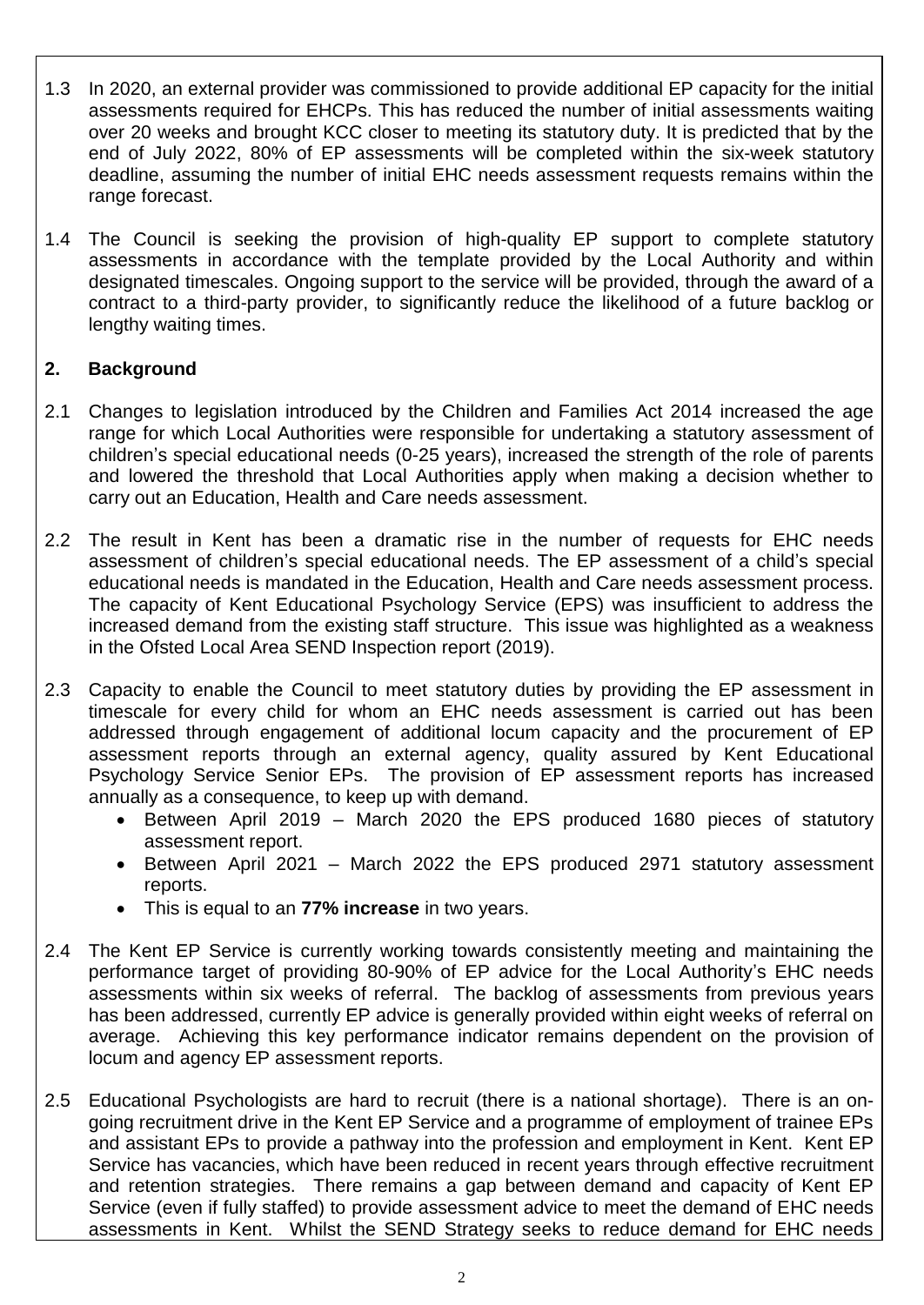- 1.3 In 2020, an external provider was commissioned to provide additional EP capacity for the initial assessments required for EHCPs. This has reduced the number of initial assessments waiting over 20 weeks and brought KCC closer to meeting its statutory duty. It is predicted that by the end of July 2022, 80% of EP assessments will be completed within the six-week statutory deadline, assuming the number of initial EHC needs assessment requests remains within the range forecast.
- 1.4 The Council is seeking the provision of high-quality EP support to complete statutory assessments in accordance with the template provided by the Local Authority and within designated timescales. Ongoing support to the service will be provided, through the award of a contract to a third-party provider, to significantly reduce the likelihood of a future backlog or lengthy waiting times.

# **2. Background**

- 2.1 Changes to legislation introduced by the Children and Families Act 2014 increased the age range for which Local Authorities were responsible for undertaking a statutory assessment of children's special educational needs (0-25 years), increased the strength of the role of parents and lowered the threshold that Local Authorities apply when making a decision whether to carry out an Education, Health and Care needs assessment.
- 2.2 The result in Kent has been a dramatic rise in the number of requests for EHC needs assessment of children's special educational needs. The EP assessment of a child's special educational needs is mandated in the Education, Health and Care needs assessment process. The capacity of Kent Educational Psychology Service (EPS) was insufficient to address the increased demand from the existing staff structure. This issue was highlighted as a weakness in the Ofsted Local Area SEND Inspection report (2019).
- 2.3 Capacity to enable the Council to meet statutory duties by providing the EP assessment in timescale for every child for whom an EHC needs assessment is carried out has been addressed through engagement of additional locum capacity and the procurement of EP assessment reports through an external agency, quality assured by Kent Educational Psychology Service Senior EPs. The provision of EP assessment reports has increased annually as a consequence, to keep up with demand.
	- Between April 2019 March 2020 the EPS produced 1680 pieces of statutory assessment report.
	- Between April 2021 March 2022 the EPS produced 2971 statutory assessment reports.
	- This is equal to an **77% increase** in two years.
- 2.4 The Kent EP Service is currently working towards consistently meeting and maintaining the performance target of providing 80-90% of EP advice for the Local Authority's EHC needs assessments within six weeks of referral. The backlog of assessments from previous years has been addressed, currently EP advice is generally provided within eight weeks of referral on average. Achieving this key performance indicator remains dependent on the provision of locum and agency EP assessment reports.
- 2.5 Educational Psychologists are hard to recruit (there is a national shortage). There is an ongoing recruitment drive in the Kent EP Service and a programme of employment of trainee EPs and assistant EPs to provide a pathway into the profession and employment in Kent. Kent EP Service has vacancies, which have been reduced in recent years through effective recruitment and retention strategies. There remains a gap between demand and capacity of Kent EP Service (even if fully staffed) to provide assessment advice to meet the demand of EHC needs assessments in Kent. Whilst the SEND Strategy seeks to reduce demand for EHC needs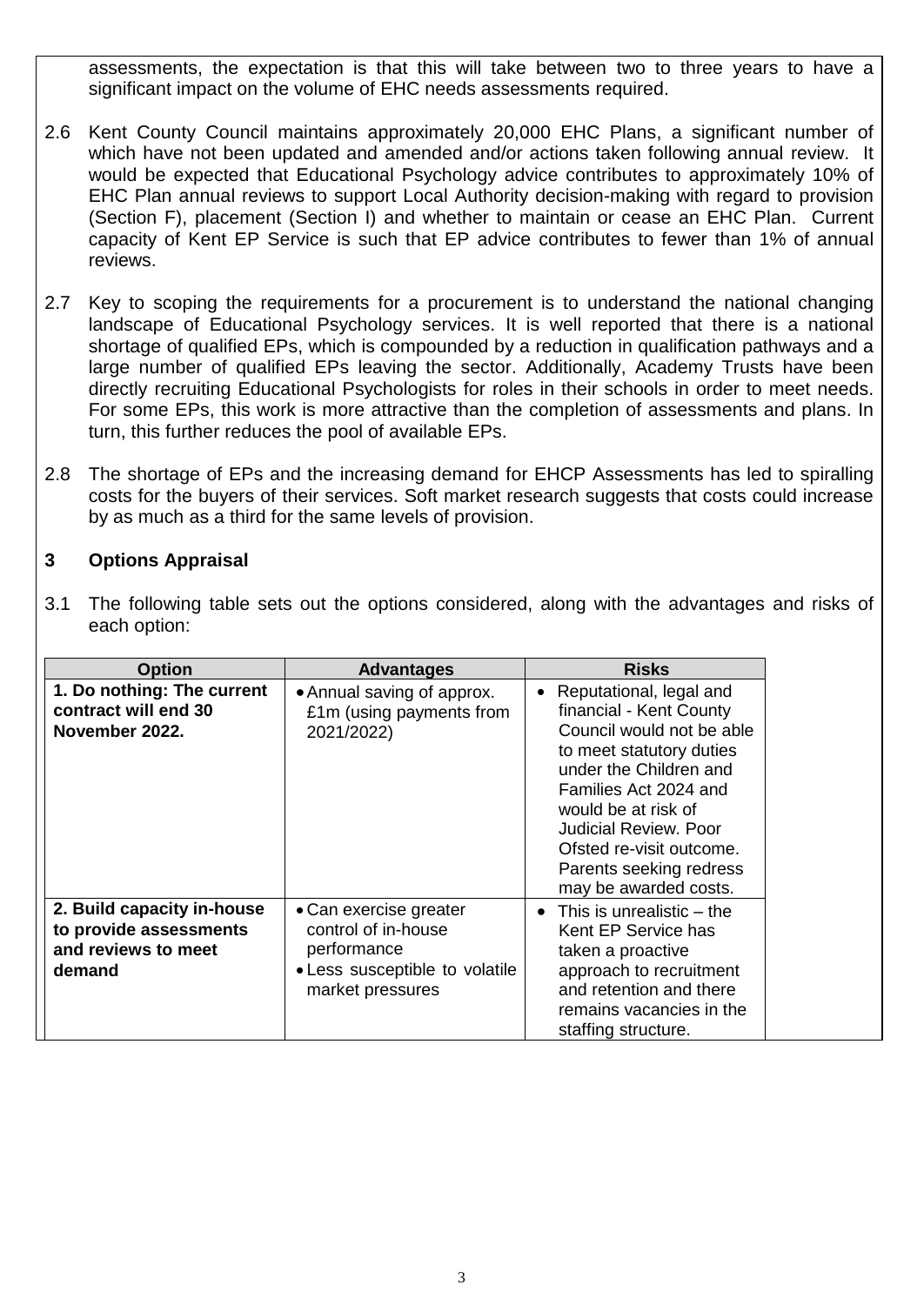assessments, the expectation is that this will take between two to three years to have a significant impact on the volume of EHC needs assessments required.

- 2.6 Kent County Council maintains approximately 20,000 EHC Plans, a significant number of which have not been updated and amended and/or actions taken following annual review. It would be expected that Educational Psychology advice contributes to approximately 10% of EHC Plan annual reviews to support Local Authority decision-making with regard to provision (Section F), placement (Section I) and whether to maintain or cease an EHC Plan. Current capacity of Kent EP Service is such that EP advice contributes to fewer than 1% of annual reviews.
- 2.7 Key to scoping the requirements for a procurement is to understand the national changing landscape of Educational Psychology services. It is well reported that there is a national shortage of qualified EPs, which is compounded by a reduction in qualification pathways and a large number of qualified EPs leaving the sector. Additionally, Academy Trusts have been directly recruiting Educational Psychologists for roles in their schools in order to meet needs. For some EPs, this work is more attractive than the completion of assessments and plans. In turn, this further reduces the pool of available EPs.
- 2.8 The shortage of EPs and the increasing demand for EHCP Assessments has led to spiralling costs for the buyers of their services. Soft market research suggests that costs could increase by as much as a third for the same levels of provision.

# **3 Options Appraisal**

3.1 The following table sets out the options considered, along with the advantages and risks of each option:

| <b>Option</b>                                                                         | <b>Advantages</b>                                                                                                  | <b>Risks</b>                                                                                                                                                                                                                                                                                     |
|---------------------------------------------------------------------------------------|--------------------------------------------------------------------------------------------------------------------|--------------------------------------------------------------------------------------------------------------------------------------------------------------------------------------------------------------------------------------------------------------------------------------------------|
| 1. Do nothing: The current<br>contract will end 30<br>November 2022.                  | • Annual saving of approx.<br>£1m (using payments from<br>2021/2022)                                               | • Reputational, legal and<br>financial - Kent County<br>Council would not be able<br>to meet statutory duties<br>under the Children and<br>Families Act 2024 and<br>would be at risk of<br>Judicial Review. Poor<br>Ofsted re-visit outcome.<br>Parents seeking redress<br>may be awarded costs. |
| 2. Build capacity in-house<br>to provide assessments<br>and reviews to meet<br>demand | • Can exercise greater<br>control of in-house<br>performance<br>• Less susceptible to volatile<br>market pressures | • This is unrealistic $-$ the<br>Kent EP Service has<br>taken a proactive<br>approach to recruitment<br>and retention and there<br>remains vacancies in the<br>staffing structure.                                                                                                               |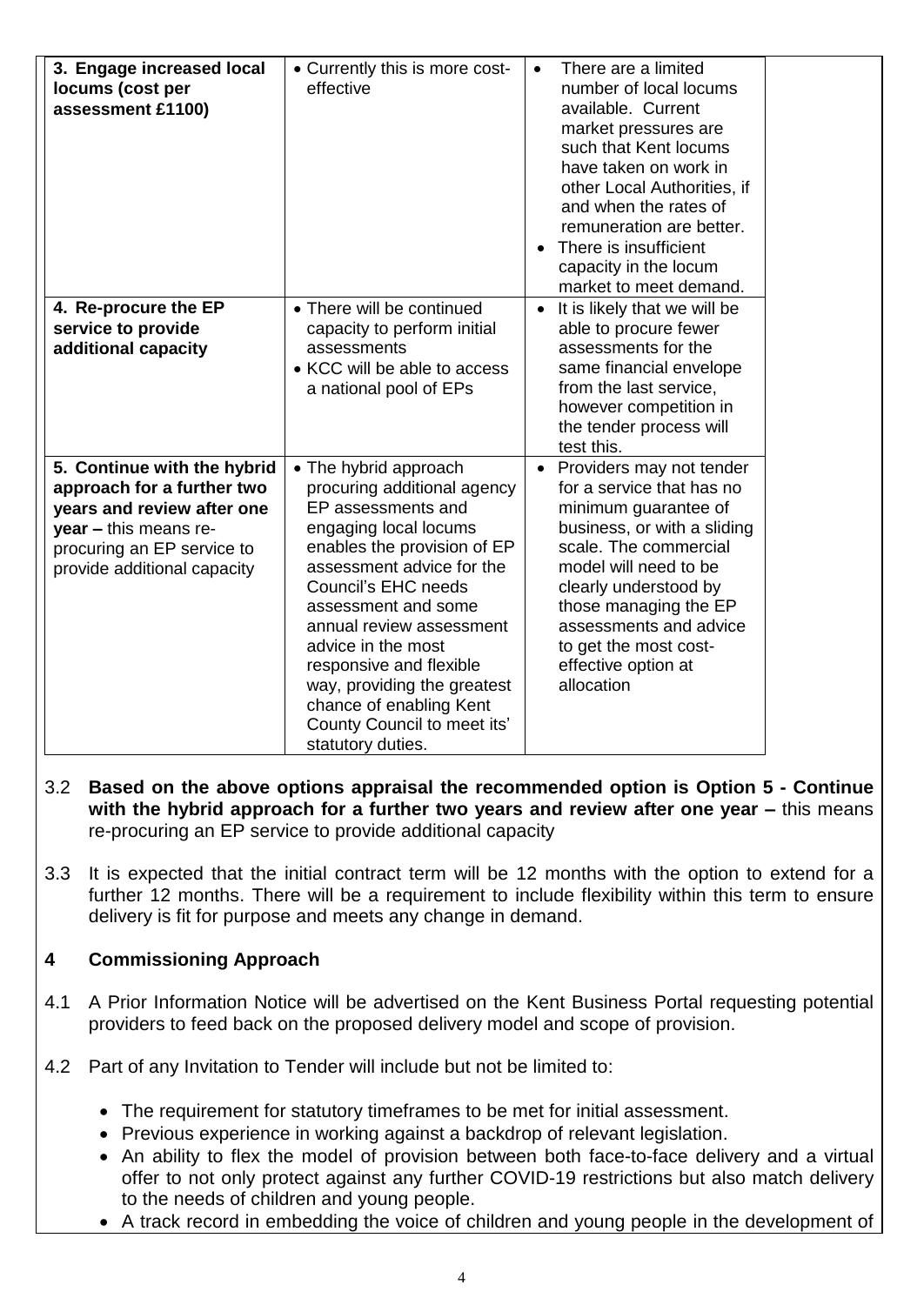| 3. Engage increased local<br>locums (cost per<br>assessment £1100)                                                                                                              | • Currently this is more cost-<br>effective                                                                                                                                                                                                                                                                                                                                                              | There are a limited<br>$\bullet$<br>number of local locums<br>available. Current<br>market pressures are<br>such that Kent locums<br>have taken on work in<br>other Local Authorities, if<br>and when the rates of<br>remuneration are better.<br>• There is insufficient<br>capacity in the locum                    |  |
|---------------------------------------------------------------------------------------------------------------------------------------------------------------------------------|----------------------------------------------------------------------------------------------------------------------------------------------------------------------------------------------------------------------------------------------------------------------------------------------------------------------------------------------------------------------------------------------------------|-----------------------------------------------------------------------------------------------------------------------------------------------------------------------------------------------------------------------------------------------------------------------------------------------------------------------|--|
| 4. Re-procure the EP<br>service to provide<br>additional capacity                                                                                                               | • There will be continued<br>capacity to perform initial<br>assessments<br>• KCC will be able to access<br>a national pool of EPs                                                                                                                                                                                                                                                                        | market to meet demand.<br>It is likely that we will be<br>$\bullet$<br>able to procure fewer<br>assessments for the<br>same financial envelope<br>from the last service,<br>however competition in<br>the tender process will<br>test this.                                                                           |  |
| 5. Continue with the hybrid<br>approach for a further two<br>years and review after one<br>$year - this means re-$<br>procuring an EP service to<br>provide additional capacity | • The hybrid approach<br>procuring additional agency<br>EP assessments and<br>engaging local locums<br>enables the provision of EP<br>assessment advice for the<br>Council's EHC needs<br>assessment and some<br>annual review assessment<br>advice in the most<br>responsive and flexible<br>way, providing the greatest<br>chance of enabling Kent<br>County Council to meet its'<br>statutory duties. | Providers may not tender<br>$\bullet$<br>for a service that has no<br>minimum guarantee of<br>business, or with a sliding<br>scale. The commercial<br>model will need to be<br>clearly understood by<br>those managing the EP<br>assessments and advice<br>to get the most cost-<br>effective option at<br>allocation |  |

- 3.2 **Based on the above options appraisal the recommended option is Option 5 - Continue with the hybrid approach for a further two years and review after one year –** this means re-procuring an EP service to provide additional capacity
- 3.3 It is expected that the initial contract term will be 12 months with the option to extend for a further 12 months. There will be a requirement to include flexibility within this term to ensure delivery is fit for purpose and meets any change in demand.

# **4 Commissioning Approach**

- 4.1 A Prior Information Notice will be advertised on the Kent Business Portal requesting potential providers to feed back on the proposed delivery model and scope of provision.
- 4.2 Part of any Invitation to Tender will include but not be limited to:
	- The requirement for statutory timeframes to be met for initial assessment.
	- Previous experience in working against a backdrop of relevant legislation.
	- An ability to flex the model of provision between both face-to-face delivery and a virtual offer to not only protect against any further COVID-19 restrictions but also match delivery to the needs of children and young people.
	- A track record in embedding the voice of children and young people in the development of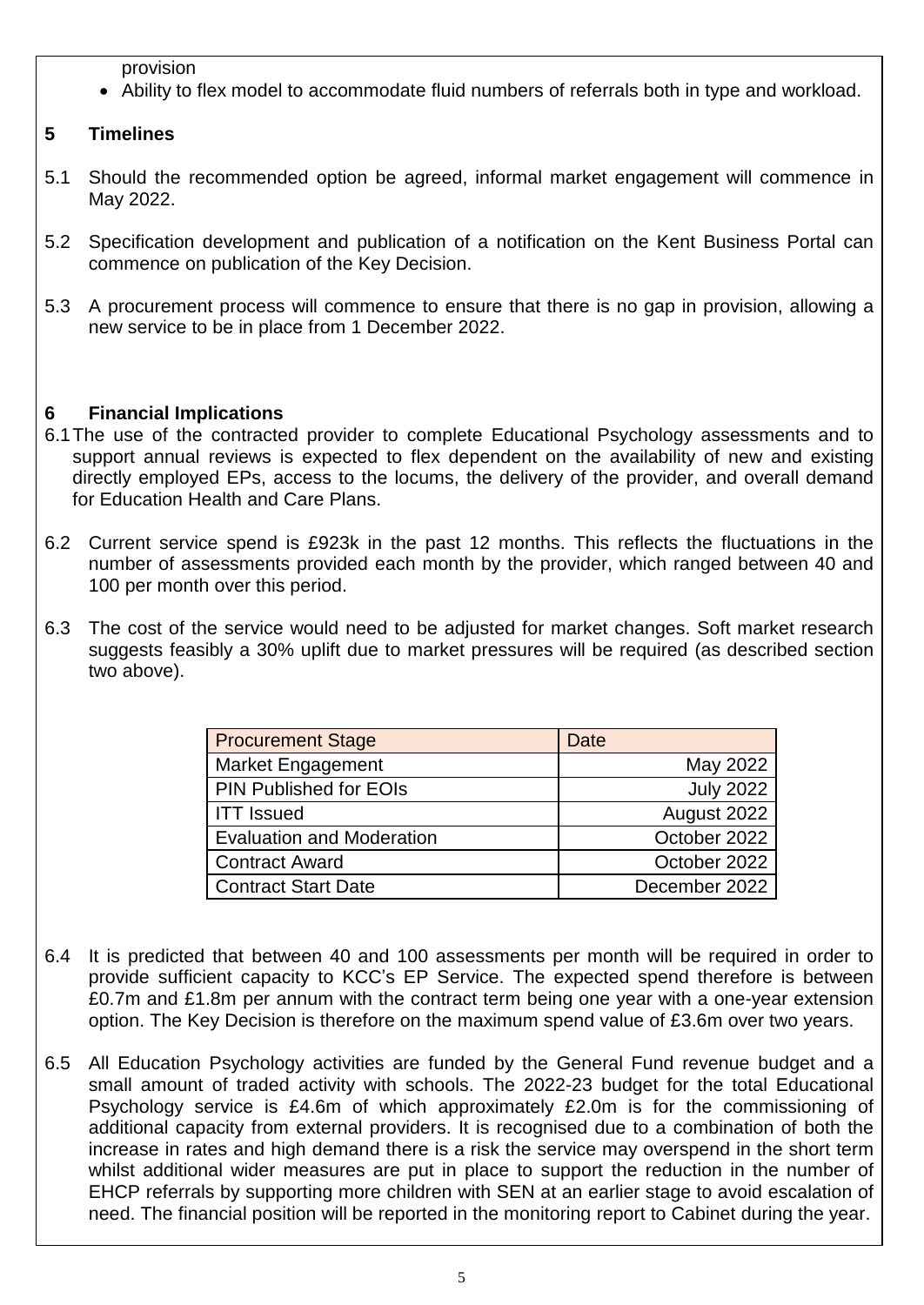provision

Ability to flex model to accommodate fluid numbers of referrals both in type and workload.

# **5 Timelines**

- 5.1 Should the recommended option be agreed, informal market engagement will commence in May 2022.
- 5.2 Specification development and publication of a notification on the Kent Business Portal can commence on publication of the Key Decision.
- 5.3 A procurement process will commence to ensure that there is no gap in provision, allowing a new service to be in place from 1 December 2022.

# **6 Financial Implications**

- 6.1The use of the contracted provider to complete Educational Psychology assessments and to support annual reviews is expected to flex dependent on the availability of new and existing directly employed EPs, access to the locums, the delivery of the provider, and overall demand for Education Health and Care Plans.
- 6.2 Current service spend is £923k in the past 12 months. This reflects the fluctuations in the number of assessments provided each month by the provider, which ranged between 40 and 100 per month over this period.
- 6.3 The cost of the service would need to be adjusted for market changes. Soft market research suggests feasibly a 30% uplift due to market pressures will be required (as described section two above).

| <b>Procurement Stage</b>         | Date             |
|----------------------------------|------------------|
| <b>Market Engagement</b>         | May 2022         |
| <b>PIN Published for EOIs</b>    | <b>July 2022</b> |
| <b>ITT Issued</b>                | August 2022      |
| <b>Evaluation and Moderation</b> | October 2022     |
| <b>Contract Award</b>            | October 2022     |
| <b>Contract Start Date</b>       | December 2022    |

- 6.4 It is predicted that between 40 and 100 assessments per month will be required in order to provide sufficient capacity to KCC's EP Service. The expected spend therefore is between £0.7m and £1.8m per annum with the contract term being one year with a one-year extension option. The Key Decision is therefore on the maximum spend value of £3.6m over two years.
- 6.5 All Education Psychology activities are funded by the General Fund revenue budget and a small amount of traded activity with schools. The 2022-23 budget for the total Educational Psychology service is £4.6m of which approximately £2.0m is for the commissioning of additional capacity from external providers. It is recognised due to a combination of both the increase in rates and high demand there is a risk the service may overspend in the short term whilst additional wider measures are put in place to support the reduction in the number of EHCP referrals by supporting more children with SEN at an earlier stage to avoid escalation of need. The financial position will be reported in the monitoring report to Cabinet during the year.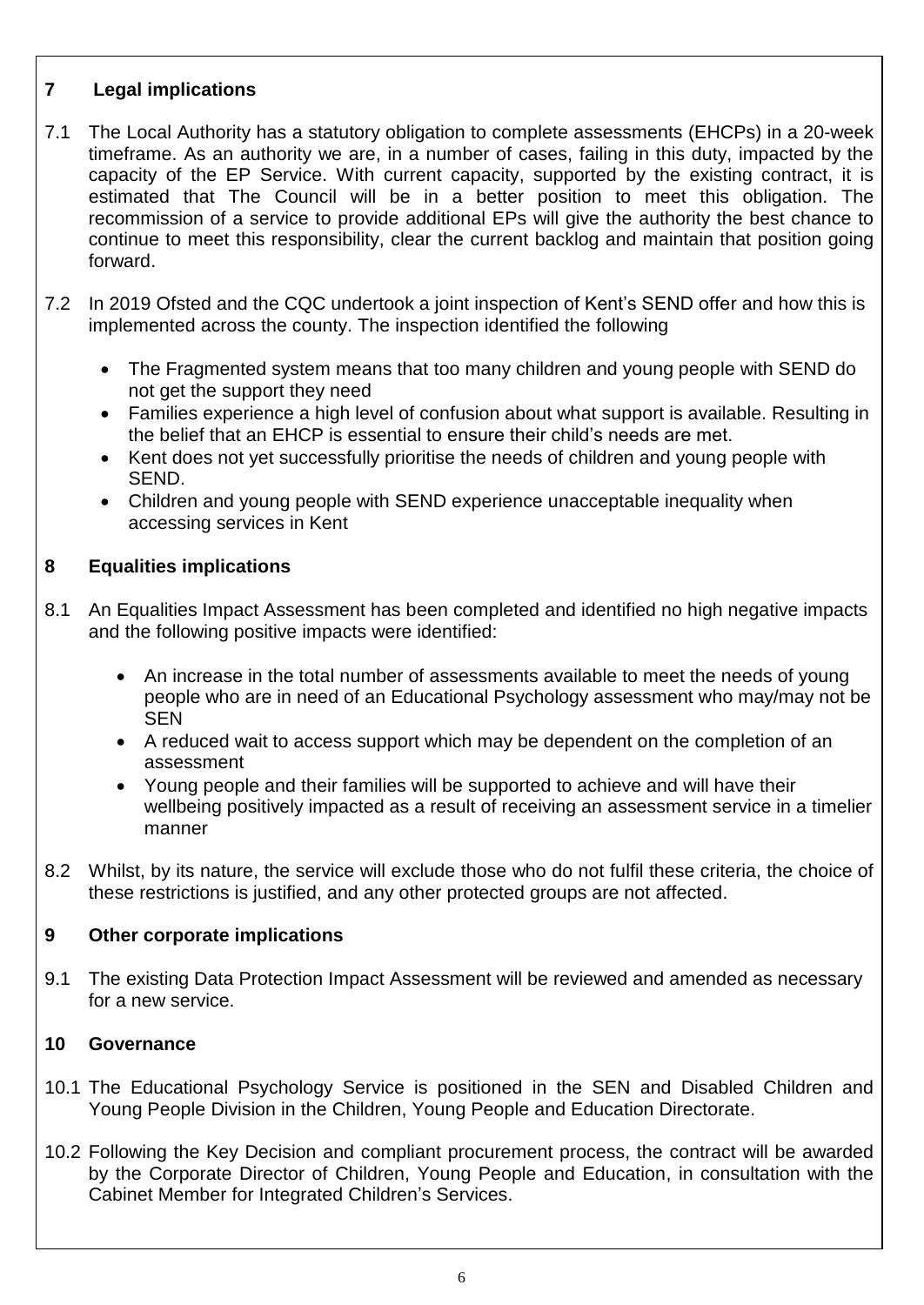# **7 Legal implications**

- 7.1 The Local Authority has a statutory obligation to complete assessments (EHCPs) in a 20-week timeframe. As an authority we are, in a number of cases, failing in this duty, impacted by the capacity of the EP Service. With current capacity, supported by the existing contract, it is estimated that The Council will be in a better position to meet this obligation. The recommission of a service to provide additional EPs will give the authority the best chance to continue to meet this responsibility, clear the current backlog and maintain that position going forward.
- 7.2 In 2019 Ofsted and the CQC undertook a joint inspection of Kent's SEND offer and how this is implemented across the county. The inspection identified the following
	- The Fragmented system means that too many children and young people with SEND do not get the support they need
	- Families experience a high level of confusion about what support is available. Resulting in the belief that an EHCP is essential to ensure their child's needs are met.
	- Kent does not yet successfully prioritise the needs of children and young people with SEND.
	- Children and young people with SEND experience unacceptable inequality when accessing services in Kent

# **8 Equalities implications**

- 8.1 An Equalities Impact Assessment has been completed and identified no high negative impacts and the following positive impacts were identified:
	- An increase in the total number of assessments available to meet the needs of young people who are in need of an Educational Psychology assessment who may/may not be SEN
	- A reduced wait to access support which may be dependent on the completion of an assessment
	- Young people and their families will be supported to achieve and will have their wellbeing positively impacted as a result of receiving an assessment service in a timelier manner
- 8.2 Whilst, by its nature, the service will exclude those who do not fulfil these criteria, the choice of these restrictions is justified, and any other protected groups are not affected.

# **9 Other corporate implications**

9.1 The existing Data Protection Impact Assessment will be reviewed and amended as necessary for a new service.

# **10 Governance**

- 10.1 The Educational Psychology Service is positioned in the SEN and Disabled Children and Young People Division in the Children, Young People and Education Directorate.
- 10.2 Following the Key Decision and compliant procurement process, the contract will be awarded by the Corporate Director of Children, Young People and Education, in consultation with the Cabinet Member for Integrated Children's Services.